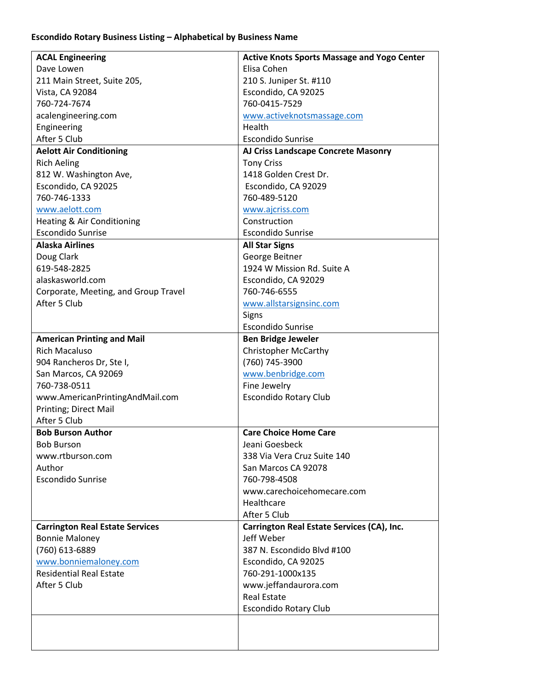## **Escondido Rotary Business Listing – Alphabetical by Business Name**

| <b>ACAL Engineering</b>                | <b>Active Knots Sports Massage and Yogo Center</b> |
|----------------------------------------|----------------------------------------------------|
| Dave Lowen                             | Elisa Cohen                                        |
| 211 Main Street, Suite 205,            | 210 S. Juniper St. #110                            |
| Vista, CA 92084                        | Escondido, CA 92025                                |
| 760-724-7674                           | 760-0415-7529                                      |
| acalengineering.com                    | www.activeknotsmassage.com                         |
| Engineering                            | Health                                             |
| After 5 Club                           | <b>Escondido Sunrise</b>                           |
| <b>Aelott Air Conditioning</b>         | AJ Criss Landscape Concrete Masonry                |
| <b>Rich Aeling</b>                     | <b>Tony Criss</b>                                  |
| 812 W. Washington Ave,                 | 1418 Golden Crest Dr.                              |
| Escondido, CA 92025                    | Escondido, CA 92029                                |
| 760-746-1333                           | 760-489-5120                                       |
| www.aelott.com                         | www.ajcriss.com                                    |
| Heating & Air Conditioning             | Construction                                       |
| <b>Escondido Sunrise</b>               | <b>Escondido Sunrise</b>                           |
| <b>Alaska Airlines</b>                 | <b>All Star Signs</b>                              |
| Doug Clark                             | George Beitner                                     |
| 619-548-2825                           | 1924 W Mission Rd. Suite A                         |
| alaskasworld.com                       | Escondido, CA 92029                                |
| Corporate, Meeting, and Group Travel   | 760-746-6555                                       |
| After 5 Club                           | www.allstarsignsinc.com                            |
|                                        | Signs                                              |
|                                        | <b>Escondido Sunrise</b>                           |
| <b>American Printing and Mail</b>      | <b>Ben Bridge Jeweler</b>                          |
| <b>Rich Macaluso</b>                   | <b>Christopher McCarthy</b>                        |
| 904 Rancheros Dr, Ste I,               | (760) 745-3900                                     |
| San Marcos, CA 92069                   | www.benbridge.com                                  |
| 760-738-0511                           | Fine Jewelry                                       |
| www.AmericanPrintingAndMail.com        | <b>Escondido Rotary Club</b>                       |
| Printing; Direct Mail                  |                                                    |
| After 5 Club                           |                                                    |
| <b>Bob Burson Author</b>               | <b>Care Choice Home Care</b>                       |
| <b>Bob Burson</b>                      | Jeani Goesbeck                                     |
| www.rtburson.com                       | 338 Via Vera Cruz Suite 140                        |
| Author                                 | San Marcos CA 92078                                |
| <b>Escondido Sunrise</b>               | 760-798-4508                                       |
|                                        | www.carechoicehomecare.com                         |
|                                        | Healthcare                                         |
|                                        | After 5 Club                                       |
| <b>Carrington Real Estate Services</b> | Carrington Real Estate Services (CA), Inc.         |
| <b>Bonnie Maloney</b>                  | Jeff Weber                                         |
| (760) 613-6889                         | 387 N. Escondido Blvd #100                         |
| www.bonniemaloney.com                  | Escondido, CA 92025                                |
| <b>Residential Real Estate</b>         | 760-291-1000x135                                   |
| After 5 Club                           | www.jeffandaurora.com                              |
|                                        | <b>Real Estate</b>                                 |
|                                        | <b>Escondido Rotary Club</b>                       |
|                                        |                                                    |
|                                        |                                                    |
|                                        |                                                    |
|                                        |                                                    |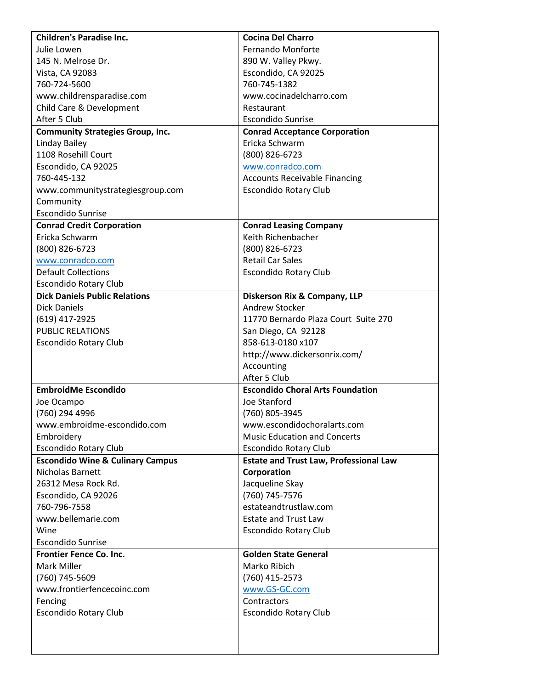| <b>Children's Paradise Inc.</b>             | <b>Cocina Del Charro</b>                      |
|---------------------------------------------|-----------------------------------------------|
| Julie Lowen                                 | Fernando Monforte                             |
| 145 N. Melrose Dr.                          | 890 W. Valley Pkwy.                           |
| Vista, CA 92083                             | Escondido, CA 92025                           |
| 760-724-5600                                | 760-745-1382                                  |
| www.childrensparadise.com                   | www.cocinadelcharro.com                       |
| Child Care & Development                    | Restaurant                                    |
| After 5 Club                                | <b>Escondido Sunrise</b>                      |
| <b>Community Strategies Group, Inc.</b>     | <b>Conrad Acceptance Corporation</b>          |
| Linday Bailey                               | Ericka Schwarm                                |
| 1108 Rosehill Court                         | (800) 826-6723                                |
| Escondido, CA 92025                         | www.conradco.com                              |
| 760-445-132                                 | <b>Accounts Receivable Financing</b>          |
| www.communitystrategiesgroup.com            | <b>Escondido Rotary Club</b>                  |
| Community                                   |                                               |
| <b>Escondido Sunrise</b>                    |                                               |
| <b>Conrad Credit Corporation</b>            | <b>Conrad Leasing Company</b>                 |
| Ericka Schwarm                              | Keith Richenbacher                            |
| (800) 826-6723                              | (800) 826-6723                                |
| www.conradco.com                            | <b>Retail Car Sales</b>                       |
| <b>Default Collections</b>                  | <b>Escondido Rotary Club</b>                  |
| <b>Escondido Rotary Club</b>                |                                               |
| <b>Dick Daniels Public Relations</b>        | Diskerson Rix & Company, LLP                  |
| <b>Dick Daniels</b>                         | Andrew Stocker                                |
| (619) 417-2925                              | 11770 Bernardo Plaza Court Suite 270          |
| <b>PUBLIC RELATIONS</b>                     | San Diego, CA 92128                           |
| <b>Escondido Rotary Club</b>                | 858-613-0180 x107                             |
|                                             | http://www.dickersonrix.com/                  |
|                                             | Accounting                                    |
|                                             | After 5 Club                                  |
| <b>EmbroidMe Escondido</b>                  | <b>Escondido Choral Arts Foundation</b>       |
| Joe Ocampo                                  | Joe Stanford                                  |
| (760) 294 4996                              | (760) 805-3945                                |
| www.embroidme-escondido.com                 | www.escondidochoralarts.com                   |
| Embroidery                                  | <b>Music Education and Concerts</b>           |
| <b>Escondido Rotary Club</b>                | <b>Escondido Rotary Club</b>                  |
| <b>Escondido Wine &amp; Culinary Campus</b> | <b>Estate and Trust Law, Professional Law</b> |
| Nicholas Barnett                            | Corporation                                   |
| 26312 Mesa Rock Rd.                         | Jacqueline Skay                               |
| Escondido, CA 92026                         | (760) 745-7576                                |
| 760-796-7558                                | estateandtrustlaw.com                         |
| www.bellemarie.com                          | <b>Estate and Trust Law</b>                   |
| Wine                                        | <b>Escondido Rotary Club</b>                  |
| <b>Escondido Sunrise</b>                    |                                               |
| <b>Frontier Fence Co. Inc.</b>              | <b>Golden State General</b>                   |
| Mark Miller                                 | Marko Ribich                                  |
| (760) 745-5609                              | (760) 415-2573                                |
| www.frontierfencecoinc.com                  | www.GS-GC.com                                 |
| Fencing                                     | Contractors                                   |
| <b>Escondido Rotary Club</b>                | <b>Escondido Rotary Club</b>                  |
|                                             |                                               |
|                                             |                                               |
|                                             |                                               |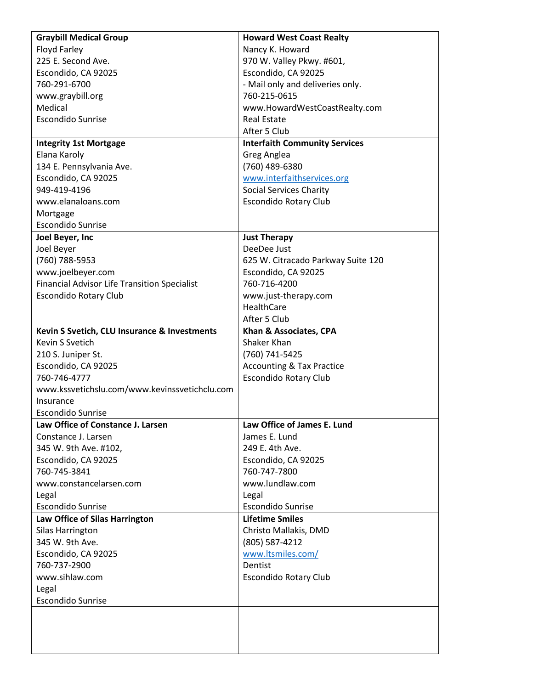| <b>Graybill Medical Group</b>                       | <b>Howard West Coast Realty</b>      |
|-----------------------------------------------------|--------------------------------------|
| Floyd Farley                                        | Nancy K. Howard                      |
| 225 E. Second Ave.                                  | 970 W. Valley Pkwy. #601,            |
| Escondido, CA 92025                                 | Escondido, CA 92025                  |
| 760-291-6700                                        | - Mail only and deliveries only.     |
| www.graybill.org                                    | 760-215-0615                         |
| Medical                                             | www.HowardWestCoastRealty.com        |
| <b>Escondido Sunrise</b>                            | <b>Real Estate</b>                   |
|                                                     | After 5 Club                         |
| <b>Integrity 1st Mortgage</b>                       | <b>Interfaith Community Services</b> |
| Elana Karoly                                        | Greg Anglea                          |
| 134 E. Pennsylvania Ave.                            | (760) 489-6380                       |
| Escondido, CA 92025                                 | www.interfaithservices.org           |
| 949-419-4196                                        | <b>Social Services Charity</b>       |
| www.elanaloans.com                                  | <b>Escondido Rotary Club</b>         |
| Mortgage                                            |                                      |
| <b>Escondido Sunrise</b>                            |                                      |
| Joel Beyer, Inc                                     | <b>Just Therapy</b>                  |
| Joel Beyer                                          | DeeDee Just                          |
| (760) 788-5953                                      | 625 W. Citracado Parkway Suite 120   |
| www.joelbeyer.com                                   | Escondido, CA 92025                  |
| <b>Financial Advisor Life Transition Specialist</b> | 760-716-4200                         |
| <b>Escondido Rotary Club</b>                        | www.just-therapy.com                 |
|                                                     | HealthCare                           |
|                                                     | After 5 Club                         |
| Kevin S Svetich, CLU Insurance & Investments        | Khan & Associates, CPA               |
| Kevin S Svetich                                     | Shaker Khan                          |
| 210 S. Juniper St.                                  | (760) 741-5425                       |
| Escondido, CA 92025                                 | <b>Accounting &amp; Tax Practice</b> |
| 760-746-4777                                        | <b>Escondido Rotary Club</b>         |
| www.kssvetichslu.com/www.kevinssvetichclu.com       |                                      |
| Insurance                                           |                                      |
| <b>Escondido Sunrise</b>                            |                                      |
| Law Office of Constance J. Larsen                   | Law Office of James E. Lund          |
| Constance J. Larsen                                 | James E. Lund                        |
| 345 W. 9th Ave. #102,                               | 249 E. 4th Ave.                      |
| Escondido, CA 92025                                 | Escondido, CA 92025                  |
| 760-745-3841                                        | 760-747-7800                         |
| www.constancelarsen.com                             | www.lundlaw.com                      |
| Legal                                               | Legal                                |
| <b>Escondido Sunrise</b>                            | <b>Escondido Sunrise</b>             |
| Law Office of Silas Harrington                      | <b>Lifetime Smiles</b>               |
| Silas Harrington                                    | Christo Mallakis, DMD                |
| 345 W. 9th Ave.                                     | (805) 587-4212                       |
| Escondido, CA 92025                                 | www.ltsmiles.com/                    |
| 760-737-2900                                        | Dentist                              |
| www.sihlaw.com                                      | <b>Escondido Rotary Club</b>         |
| Legal                                               |                                      |
| <b>Escondido Sunrise</b>                            |                                      |
|                                                     |                                      |
|                                                     |                                      |
|                                                     |                                      |
|                                                     |                                      |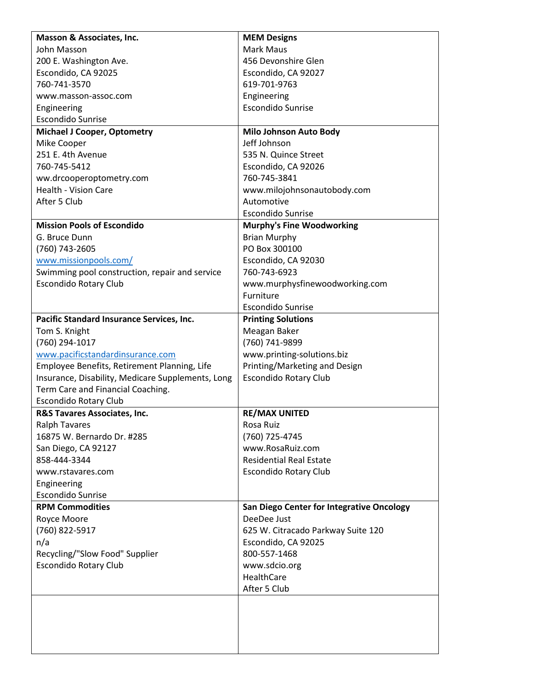| Masson & Associates, Inc.                         | <b>MEM Designs</b>                        |
|---------------------------------------------------|-------------------------------------------|
| John Masson                                       | <b>Mark Maus</b>                          |
| 200 E. Washington Ave.                            | 456 Devonshire Glen                       |
| Escondido, CA 92025                               | Escondido, CA 92027                       |
| 760-741-3570                                      | 619-701-9763                              |
| www.masson-assoc.com                              | Engineering                               |
| Engineering                                       | <b>Escondido Sunrise</b>                  |
| <b>Escondido Sunrise</b>                          |                                           |
| <b>Michael J Cooper, Optometry</b>                | <b>Milo Johnson Auto Body</b>             |
| Mike Cooper                                       | Jeff Johnson                              |
| 251 E. 4th Avenue                                 | 535 N. Quince Street                      |
| 760-745-5412                                      | Escondido, CA 92026                       |
| ww.drcooperoptometry.com                          | 760-745-3841                              |
| <b>Health - Vision Care</b>                       | www.milojohnsonautobody.com               |
| After 5 Club                                      | Automotive                                |
|                                                   | <b>Escondido Sunrise</b>                  |
| <b>Mission Pools of Escondido</b>                 | <b>Murphy's Fine Woodworking</b>          |
| G. Bruce Dunn                                     | <b>Brian Murphy</b>                       |
| (760) 743-2605                                    | PO Box 300100                             |
| www.missionpools.com/                             | Escondido, CA 92030                       |
| Swimming pool construction, repair and service    | 760-743-6923                              |
| <b>Escondido Rotary Club</b>                      | www.murphysfinewoodworking.com            |
|                                                   | Furniture                                 |
|                                                   | <b>Escondido Sunrise</b>                  |
| Pacific Standard Insurance Services, Inc.         | <b>Printing Solutions</b>                 |
| Tom S. Knight                                     | Meagan Baker                              |
| (760) 294-1017                                    | (760) 741-9899                            |
| www.pacificstandardinsurance.com                  | www.printing-solutions.biz                |
| Employee Benefits, Retirement Planning, Life      | Printing/Marketing and Design             |
| Insurance, Disability, Medicare Supplements, Long | <b>Escondido Rotary Club</b>              |
| Term Care and Financial Coaching.                 |                                           |
| <b>Escondido Rotary Club</b>                      |                                           |
| R&S Tavares Associates, Inc.                      | <b>RE/MAX UNITED</b>                      |
| <b>Ralph Tavares</b>                              | Rosa Ruiz                                 |
| 16875 W. Bernardo Dr. #285                        | (760) 725-4745                            |
| San Diego, CA 92127                               | www.RosaRuiz.com                          |
| 858-444-3344                                      | <b>Residential Real Estate</b>            |
| www.rstavares.com                                 | <b>Escondido Rotary Club</b>              |
| Engineering                                       |                                           |
| <b>Escondido Sunrise</b>                          |                                           |
| <b>RPM Commodities</b>                            | San Diego Center for Integrative Oncology |
| Royce Moore                                       | DeeDee Just                               |
| (760) 822-5917                                    | 625 W. Citracado Parkway Suite 120        |
| n/a                                               | Escondido, CA 92025                       |
| Recycling/"Slow Food" Supplier                    | 800-557-1468                              |
| <b>Escondido Rotary Club</b>                      | www.sdcio.org                             |
|                                                   | HealthCare                                |
|                                                   | After 5 Club                              |
|                                                   |                                           |
|                                                   |                                           |
|                                                   |                                           |
|                                                   |                                           |
|                                                   |                                           |